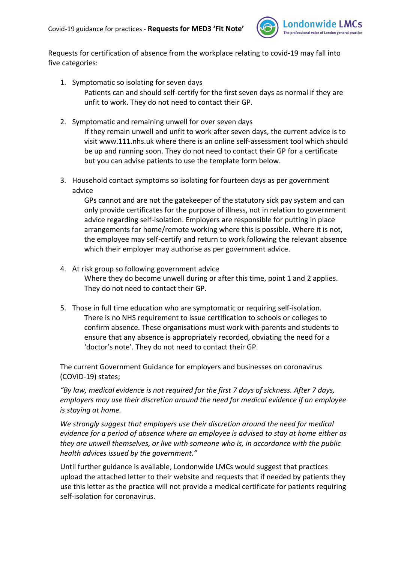

Requests for certification of absence from the workplace relating to covid-19 may fall into five categories:

- 1. Symptomatic so isolating for seven days Patients can and should self-certify for the first seven days as normal if they are unfit to work. They do not need to contact their GP.
- 2. Symptomatic and remaining unwell for over seven days If they remain unwell and unfit to work after seven days, the current advice is to visit www.111.nhs.uk where there is an online self-assessment tool which should be up and running soon. They do not need to contact their GP for a certificate but you can advise patients to use the template form below.
- 3. Household contact symptoms so isolating for fourteen days as per government advice

GPs cannot and are not the gatekeeper of the statutory sick pay system and can only provide certificates for the purpose of illness, not in relation to government advice regarding self-isolation. Employers are responsible for putting in place arrangements for home/remote working where this is possible. Where it is not, the employee may self-certify and return to work following the relevant absence which their employer may authorise as per government advice.

- 4. At risk group so following government advice Where they do become unwell during or after this time, point 1 and 2 applies. They do not need to contact their GP.
- 5. Those in full time education who are symptomatic or requiring self-isolation. There is no NHS requirement to issue certification to schools or colleges to confirm absence. These organisations must work with parents and students to ensure that any absence is appropriately recorded, obviating the need for a 'doctor's note'. They do not need to contact their GP.

The current Government Guidance for employers and businesses on coronavirus (COVID-19) states;

*"By law, medical evidence is not required for the first 7 days of sickness. After 7 days, employers may use their discretion around the need for medical evidence if an employee is staying at home.*

*We strongly suggest that employers use their discretion around the need for medical evidence for a period of absence where an employee is advised to stay at home either as they are unwell themselves, or live with someone who is, in accordance with the public health advices issued by the government."* 

Until further guidance is available, Londonwide LMCs would suggest that practices upload the attached letter to their website and requests that if needed by patients they use this letter as the practice will not provide a medical certificate for patients requiring self-isolation for coronavirus.